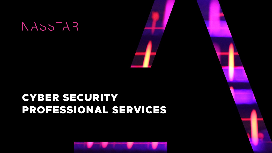



# CYBER SECURITY PROFESSIONAL SERVICES



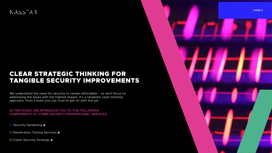# $FA=5A$

# CLEAR STRATEGIC THINKING FOR TANGIBLE SECURITY IMPROVEMENTS



We understand the need for security to remain affordable - so we'll focus on addressing the areas with the highest impact. It's a targeted, clear-thinking approach, from a team you can trust to get on with the job.

**IN THIS GUIDE, WE INTRODUCE YOU TO THE FOLLOWING COMPONENTS OF CYBER SECURITY PROFESSIONAL SERVICES:**

- **\\** [Security Hardening](#page-2-0)
- **\\** [Penetration Testing Services](#page-4-0)
- **\\** [Cyber Security Strategy](#page-7-0)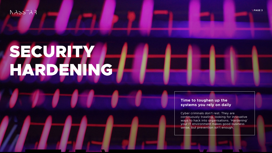## $RAS5A3$

# <span id="page-2-0"></span>SECURITY HARDENING

#### **Time to toughen up the systems you rely on daily**

Cyber criminals don't rest. They are continuously trawling, looking for innovative ways to hack into organisations. 'Hardening' your IT environment makes good business sense, but prevention isn't enough.

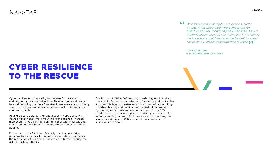# CYBER RESILIENCE TO THE RESCUE

Cyber resilience is the ability to prepare for, respond to and recover for a cyber-attack. At Nasstar, our solutions go beyond reducing the risk of an attack, we ensure you not only survive an attack, you recover and are back to business as soon as possible.

As a Microsoft Gold partner and a security specialist with years of experience working with organisations to harden their security, you can feel confident that with Nasstar, your IT environment will be more secure for everyone who relies upon it.

With the increase of digital and cyber-security threats, it has never been more important for effective security monitoring and response. As our trusted partner, and not just a supplier, I feel safe in the knowledge that Nasstar is the best-fit to assist Thrive on our digital transformation journey. **99** 

Furthermore, our Mimecast Security Hardening service provides best-practice Mimecast customisation to enhance the protection of your email systems and further reduce the risk of phishing attacks.

Our Microsoft Office 365 Security Hardening service takes the world's favourite cloud-based office suite and customises it to provide layers of extra security - from mailbox auditing to extra phishing and email spoofing protection. We start by running a complete assessment of your Office 365 estate to create a tailored plan that gives you the security enhancements you need. And we can also conduct regular scans for evidence of Office-related risks, breaches, or suspicious behaviour.

## $FA<sub>SC</sub>  $AA$$

**"**

**JOHN STENTON** IT MANAGER, THRIVE HOMES

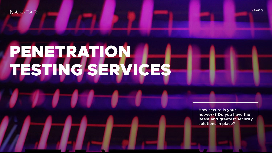## $FA^-cCA$

# <span id="page-4-0"></span>PENETRATION TESTING SERVICES

**How secure is your network? Do you have the latest and greatest security solutions in place?**

**\ PAGE 5**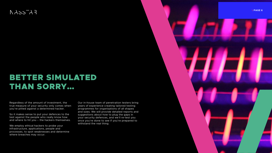# $FA=5A$

# BETTER SIMULATED THAN SORRY…

Regardless of the amount of investment, the true measure of your security only comes when you're pitted against a determined hacker.

So it makes sense to put your defences to the test against the people who really know how and where to hit you – the hackers themselves.

We employ ethical hackers to probe your infrastructure, applications, people and processes, to spot weaknesses and determine where breaches may occur.

Our in-house team of penetration testers bring years of experience creating tailored testing programmes for organisations of all shapes and sizes. We will provide detailed reports and suggestions about how to plug the gaps in your security defences, and we'll re-test you once you're done to see if you're prepared to withstand the real thing.

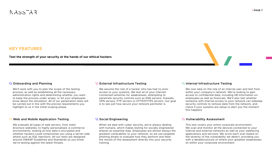## $RASSTAR$

#### **KEY FEATURES**

**Test the strength of your security at the hands of our ethical hackers**

#### **\\ Onboarding and Planning**

We'll work with you to plan the scope of the testing process, as well as establishing all the necessary administration rights and determining whether you want to keep the process under wraps, or let your employees know about the simulation. All of our penetration tests will be carried out in line with the precise requirements you highlight to us in the initial scoping phase.

#### **\\ External Infrastructure Testing**

We assume the role of a hacker who has had no prior access to your systems. We test all of your internetconnected networks for weaknesses, attempting to penetrate security controls such as DNS servers, firewalls, VPN servers, FTP servers or HTTP/HTTPS servers. Our goal is to see just how secure your network perimeter is.

#### **\\ Internal Infrastructure Testing**

We now take on the role of an internal user and test from within your company's network. We're looking to gain access to confidential data, including HR information on employees as well as financials. We'll also test whether someone with internal access to your network can sidestep security controls to remove data from the network, and check if your systems are setup to alert you the moment this happens.

#### **\\ Web and Mobile Application Testing**

We evaluate all types of web servers, from static brochure websites, to highly personalised, e-commerce environments, looking at how data is encrypted and whether hackers could compromise you using a server-side attack such as SQL injections. All our tests are designed around OWASP Guidelines and Standards so you know we're testing against the latest threats.

#### **\\ Social Engineering**

When we deal with cyber security, we're always dealing with humans, which makes testing for socially engineered attacks an essential step. Employees are almost always the greatest vulnerability to your network, so we use targeted phishing emails to evaluate how they perform and feed the results of this assessment directly into your security training.

#### **\\ Vulnerability Assessment**

This test covers your entire corporate environment. We scan and monitor all the devices connected to your internal and external networks as well as your webfacing applications and services. We score each scan based on the severity of the vulnerability we detect, providing you with a detailed picture of where your greatest weaknesses sit within your corporate environment.

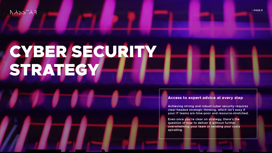### $FA^-cCA$

# <span id="page-7-0"></span>CYBER SECURITY STRATEGY

#### **Access to expert advice at every step**

**Achieving strong and robust cyber security requires clear-headed strategic thinking, which isn't easy if your IT teams are time-poor and resource-stretched.**

**Even once you're clear on strategy, there's the question of how to deliver it without further overwhelming your team or sending your costs** 

**spiralling.**

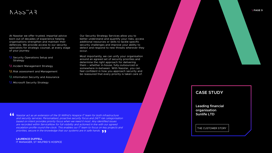# $FA^-cchA$

At Nasstar we offer trusted, impartial advice born out of decades of experience helping organisations strengthen and maintain their defences. We provide access to our security specialists for strategic counsel, at every stage of your journey:

- **\\** Security Operations Setup and Strategy
- **\\** Incident Management Strategy
- **\\** Risk assessment and Management
- **\\** Information Security and Assurance
- **\\** Microsoft Security Strategy

Our Security Strategy Services allow you to better understand and quantify your risks, access additional resources or skills to tackle specific security challenges and improve your ability to detect and respond to new threats wherever they occur.

Most importantly, we can unify your organisation around an agreed set of security priorities and determine the right approach for delivering them – whether in-house, fully-outsourced or somewhere in-between. With Nasstar, you can feel confident in how you approach security and be reassured that every priority is taken care of.

#### **[CASE STUDY](https://www.nasstar.com/hub/customer-success/sunlife-ltd)**

**Leading financial organisation Sunlife LTD**

THE CUSTOMER STORY

Nasstar act as an extension of the St Wilfrid's Hospice IT team for both infrastructure and security services. Personalised, proactive security focus and 24/7 risk categorisation based on intent provides priority focus when we need it most. Any identified issues are recorded within ServiceNow for full visibility and actioned in line with our agreed escalation profile round-the-clock. This enables our IT team to focus on key projects and priorities, secure in the knowledge that our systems are in safe hands.<br>**"** ALIPENCE DUFFELL **"**

**LAURENCE DUFFELL** IT MANAGER, ST WILFRID'S HOSPICE

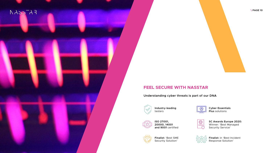

### **FEEL SECURE WITH NASSTAR**

**Understanding cyber threats is part of our DNA**



**SC Awards Europe 2020:**  Winner: 'Best Managed Security Service'



**Finalist:** 'Best SME Security Solution'

**Cyber Essentials Plus** solutions



**Finalist:** in 'Best Incident Response Solution'

**ISO 27001, 20000, 14001 and 9001** certified



**Industry-leading**  testers



**\ PAGE 10**